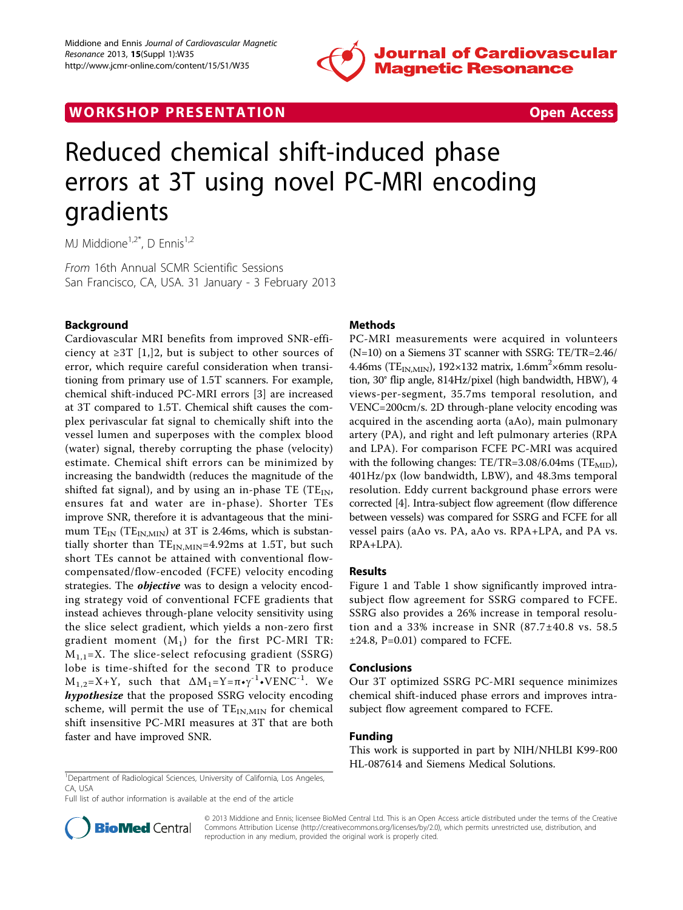

# WORK SHOP PRESENTATION CONTROL TO A CONSIDER A CONSIDER A CONSIDERATION



# Reduced chemical shift-induced phase errors at 3T using novel PC-MRI encoding gradients

MJ Middione $1,2^*$ , D Ennis $1,2^*$ 

From 16th Annual SCMR Scientific Sessions San Francisco, CA, USA. 31 January - 3 February 2013

# Background

Cardiovascular MRI benefits from improved SNR-efficiency at  $\geq$ 3T [\[1,](#page-1-0)]2, but is subject to other sources of error, which require careful consideration when transitioning from primary use of 1.5T scanners. For example, chemical shift-induced PC-MRI errors [\[3](#page-1-0)] are increased at 3T compared to 1.5T. Chemical shift causes the complex perivascular fat signal to chemically shift into the vessel lumen and superposes with the complex blood (water) signal, thereby corrupting the phase (velocity) estimate. Chemical shift errors can be minimized by increasing the bandwidth (reduces the magnitude of the shifted fat signal), and by using an in-phase TE (TE $_{\text{IN}}$ , ensures fat and water are in-phase). Shorter TEs improve SNR, therefore it is advantageous that the minimum  $TE_{IN}$  (T $E_{IN,MIN}$ ) at 3T is 2.46ms, which is substantially shorter than  $TE_{IN,MIN}=4.92$ ms at 1.5T, but such short TEs cannot be attained with conventional flowcompensated/flow-encoded (FCFE) velocity encoding strategies. The *objective* was to design a velocity encoding strategy void of conventional FCFE gradients that instead achieves through-plane velocity sensitivity using the slice select gradient, which yields a non-zero first gradient moment  $(M_1)$  for the first PC-MRI TR:  $M_{1,1}=X$ . The slice-select refocusing gradient (SSRG) lobe is time-shifted for the second TR to produce  $M_{1,2}=X+Y$ , such that  $\Delta M_1=Y=\pi\cdot\gamma^{-1}\cdot VENC^{-1}$ . We hypothesize that the proposed SSRG velocity encoding scheme, will permit the use of  $TE_{IN,MIN}$  for chemical shift insensitive PC-MRI measures at 3T that are both faster and have improved SNR.

# Methods

PC-MRI measurements were acquired in volunteers (N=10) on a Siemens 3T scanner with SSRG: TE/TR=2.46/ 4.46ms (T $E_{IN,MIN}$ ), 192×132 matrix, 1.6mm<sup>2</sup>×6mm resolution, 30° flip angle, 814Hz/pixel (high bandwidth, HBW), 4 views-per-segment, 35.7ms temporal resolution, and VENC=200cm/s. 2D through-plane velocity encoding was acquired in the ascending aorta (aAo), main pulmonary artery (PA), and right and left pulmonary arteries (RPA and LPA). For comparison FCFE PC-MRI was acquired with the following changes:  $TE/TR = 3.08/6.04$ ms ( $TE<sub>MID</sub>$ ), 401Hz/px (low bandwidth, LBW), and 48.3ms temporal resolution. Eddy current background phase errors were corrected [[4](#page-1-0)]. Intra-subject flow agreement (flow difference between vessels) was compared for SSRG and FCFE for all vessel pairs (aAo vs. PA, aAo vs. RPA+LPA, and PA vs. RPA+LPA).

# Results

Figure [1](#page-1-0) and Table [1](#page-1-0) show significantly improved intrasubject flow agreement for SSRG compared to FCFE. SSRG also provides a 26% increase in temporal resolution and a 33% increase in SNR (87.7±40.8 vs. 58.5 ±24.8, P=0.01) compared to FCFE.

#### Conclusions

Our 3T optimized SSRG PC-MRI sequence minimizes chemical shift-induced phase errors and improves intrasubject flow agreement compared to FCFE.

#### Funding

This work is supported in part by NIH/NHLBI K99-R00 HL-087614 and Siemens Medical Solutions.

Full list of author information is available at the end of the article



© 2013 Middione and Ennis; licensee BioMed Central Ltd. This is an Open Access article distributed under the terms of the Creative Commons Attribution License [\(http://creativecommons.org/licenses/by/2.0](http://creativecommons.org/licenses/by/2.0)), which permits unrestricted use, distribution, and reproduction in any medium, provided the original work is properly cited.

<sup>&</sup>lt;sup>1</sup>Department of Radiological Sciences, University of California, Los Angeles, CA, USA